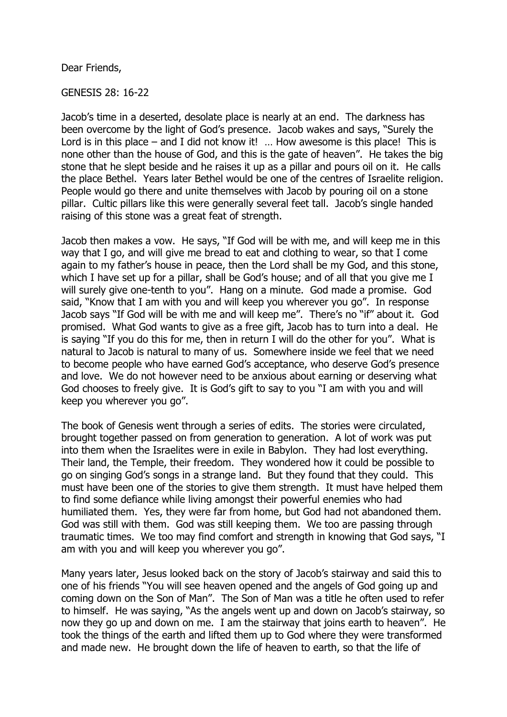Dear Friends,

GENESIS 28: 16-22

Jacob's time in a deserted, desolate place is nearly at an end. The darkness has been overcome by the light of God's presence. Jacob wakes and says, "Surely the Lord is in this place – and I did not know it!  $\ldots$  How awesome is this place! This is none other than the house of God, and this is the gate of heaven". He takes the big stone that he slept beside and he raises it up as a pillar and pours oil on it. He calls the place Bethel. Years later Bethel would be one of the centres of Israelite religion. People would go there and unite themselves with Jacob by pouring oil on a stone pillar. Cultic pillars like this were generally several feet tall. Jacob's single handed raising of this stone was a great feat of strength.

Jacob then makes a vow. He says, "If God will be with me, and will keep me in this way that I go, and will give me bread to eat and clothing to wear, so that I come again to my father's house in peace, then the Lord shall be my God, and this stone, which I have set up for a pillar, shall be God's house; and of all that you give me I will surely give one-tenth to you". Hang on a minute. God made a promise. God said, "Know that I am with you and will keep you wherever you go". In response Jacob says "If God will be with me and will keep me". There's no "if" about it. God promised. What God wants to give as a free gift, Jacob has to turn into a deal. He is saying "If you do this for me, then in return I will do the other for you". What is natural to Jacob is natural to many of us. Somewhere inside we feel that we need to become people who have earned God's acceptance, who deserve God's presence and love. We do not however need to be anxious about earning or deserving what God chooses to freely give. It is God's gift to say to you "I am with you and will keep you wherever you go".

The book of Genesis went through a series of edits. The stories were circulated, brought together passed on from generation to generation. A lot of work was put into them when the Israelites were in exile in Babylon. They had lost everything. Their land, the Temple, their freedom. They wondered how it could be possible to go on singing God's songs in a strange land. But they found that they could. This must have been one of the stories to give them strength. It must have helped them to find some defiance while living amongst their powerful enemies who had humiliated them. Yes, they were far from home, but God had not abandoned them. God was still with them. God was still keeping them. We too are passing through traumatic times. We too may find comfort and strength in knowing that God says, "I am with you and will keep you wherever you go".

Many years later, Jesus looked back on the story of Jacob's stairway and said this to one of his friends "You will see heaven opened and the angels of God going up and coming down on the Son of Man". The Son of Man was a title he often used to refer to himself. He was saying, "As the angels went up and down on Jacob's stairway, so now they go up and down on me. I am the stairway that joins earth to heaven". He took the things of the earth and lifted them up to God where they were transformed and made new. He brought down the life of heaven to earth, so that the life of